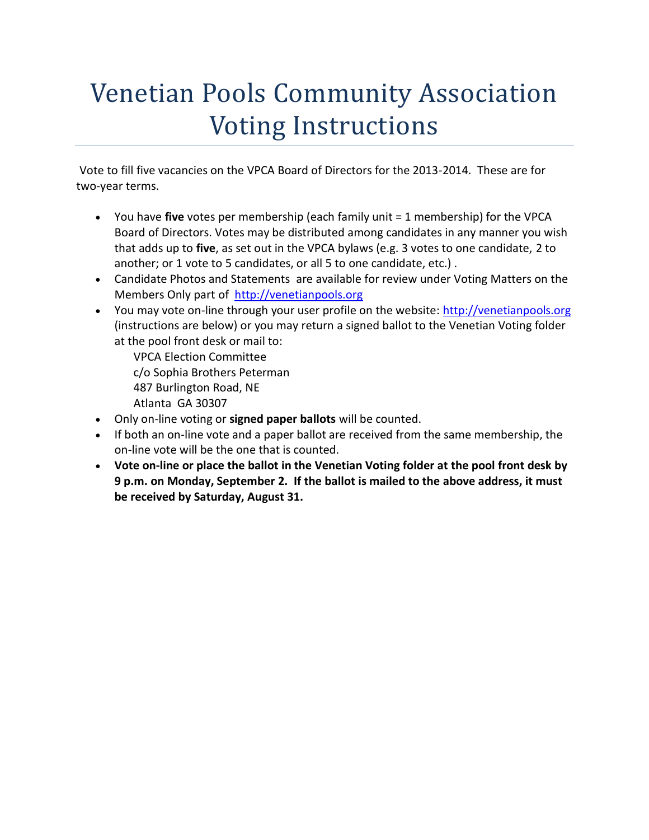## Venetian Pools Community Association Voting Instructions

Vote to fill five vacancies on the VPCA Board of Directors for the 2013-2014. These are for two-year terms.

- You have **five** votes per membership (each family unit = 1 membership) for the VPCA Board of Directors. Votes may be distributed among candidates in any manner you wish that adds up to **five**, as set out in the VPCA bylaws (e.g. 3 votes to one candidate, 2 to another; or 1 vote to 5 candidates, or all 5 to one candidate, etc.) .
- Candidate Photos and Statements are available for review under Voting Matters on the Members Only part of [http://venetianpools.org](http://venetianpools.org/)
- You may vote on-line through your user profile on the website: [http://venetianpools.org](http://venetianpools.org/) (instructions are below) or you may return a signed ballot to the Venetian Voting folder at the pool front desk or mail to:

VPCA Election Committee c/o Sophia Brothers Peterman 487 Burlington Road, NE Atlanta GA 30307

- Only on-line voting or **signed paper ballots** will be counted.
- If both an on-line vote and a paper ballot are received from the same membership, the on-line vote will be the one that is counted.
- **Vote on-line or place the ballot in the Venetian Voting folder at the pool front desk by 9 p.m. on Monday, September 2. If the ballot is mailed to the above address, it must be received by Saturday, August 31.**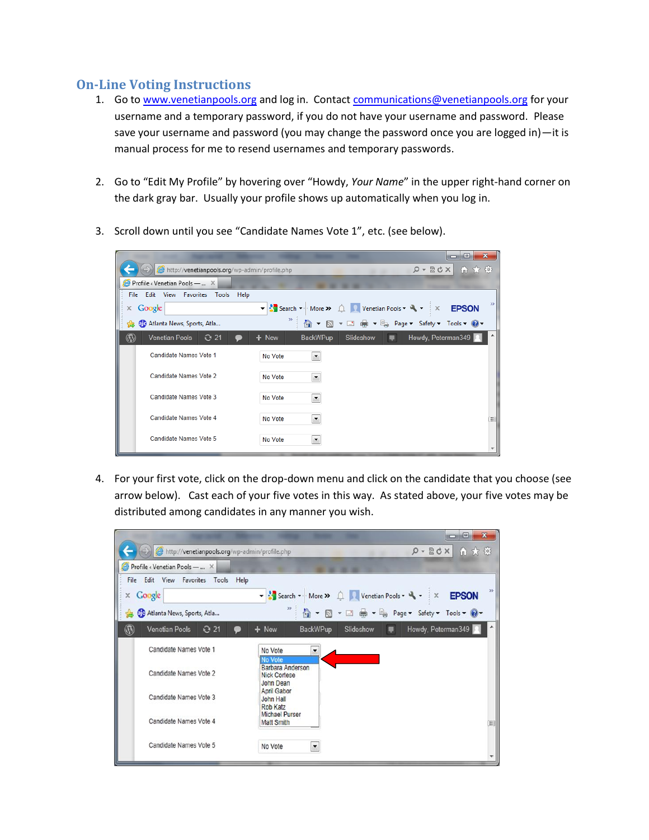## **On-Line Voting Instructions**

- 1. Go to [www.venetianpools.org](http://www.venetianpools.org/) and log in. Contact [communications@venetianpools.org](mailto:communications@venetianpools.org) for your username and a temporary password, if you do not have your username and password. Please save your username and password (you may change the password once you are logged in)—it is manual process for me to resend usernames and temporary passwords.
- 2. Go to "Edit My Profile" by hovering over "Howdy, *Your Name*" in the upper right-hand corner on the dark gray bar. Usually your profile shows up automatically when you log in.
- 3. Scroll down until you see "Candidate Names Vote 1", etc. (see below).

| http://venetianpools.org/wp-admin/profile.php   | ▭<br>$\rho$ - $\boxtimes$ d $\times$                                                                                        | $\mathbf{x}$<br>Θ.<br>← ★ 登 |
|-------------------------------------------------|-----------------------------------------------------------------------------------------------------------------------------|-----------------------------|
| Profile < Venetian Pools —  X                   |                                                                                                                             |                             |
| File Edit View Favorites<br>Tools<br>Help       |                                                                                                                             |                             |
| Google<br>$\mathbb X$ .                         | ▼ Search ▼ More >> △ Venetian Pools ▼ マ マ X EPSON                                                                           | $\rightarrow$               |
| <b>BC</b> Atlanta News, Sports, Atla<br>寋       | $>$<br>$\Box$ $\oplus$ $\rightarrow$ $\Box$ Page $\rightarrow$ Safety $\rightarrow$ Tools $\rightarrow$ $\bullet$<br>同<br>倫 |                             |
| $\mathbf{C}$<br><b>Venetian Pools</b><br>$Q$ 21 | Howdy, Peterman349<br><b>BackWPup</b><br>Slideshow<br>$+$ New                                                               |                             |
| Candidate Names Vote 1                          | No Vote<br>$\blacktriangledown$                                                                                             |                             |
| Candidate Names Vote 2                          | No Vote<br>$\blacktriangledown$                                                                                             |                             |
| Candidate Names Vote 3                          | No Vote<br>$\overline{\phantom{a}}$                                                                                         |                             |
| Candidate Names Vote 4                          | No Vote<br>$\blacktriangledown$                                                                                             | 目                           |
| Candidate Names Vote 5                          | No Vote<br>$\blacktriangledown$                                                                                             |                             |

4. For your first vote, click on the drop-down menu and click on the candidate that you choose (see arrow below). Cast each of your five votes in this way. As stated above, your five votes may be distributed among candidates in any manner you wish.

| http://venetianpools.org/wp-admin/profile.php<br>Profile < Venetian Pools -  X<br>File Edit View<br>Favorites Tools<br>Help<br>Google<br>x | $Q - B dX$<br>自大意<br>$\rightarrow$<br>venetian Pools v X EPSON |
|--------------------------------------------------------------------------------------------------------------------------------------------|----------------------------------------------------------------|
|                                                                                                                                            |                                                                |
|                                                                                                                                            |                                                                |
|                                                                                                                                            |                                                                |
|                                                                                                                                            |                                                                |
| $\gg$<br><b>De</b> Atlanta News, Sports, Atla<br>寇                                                                                         | 4 ▼ 5 ▼ □ ● ▼ Be Page ▼ Safety ▼ Tools ▼ © ▼                   |
| $\circledR$<br>Venetian Pools 21<br><b>BackWPup</b><br>Slideshow<br>$+$ New                                                                | Howdy, Peterman349<br>屪                                        |
| Candidate Names Vote 1<br>No Vote<br>$\overline{\phantom{a}}$<br><b>No Vote</b>                                                            |                                                                |
| <b>Barbara Anderson</b><br>Candidate Names Vote 2<br><b>Nick Cortese</b><br><b>John Dean</b>                                               |                                                                |
| <b>April Gabor</b><br>Candidate Names Vote 3<br><b>John Hall</b><br>Rob Katz                                                               |                                                                |
| <b>Michael Purser</b><br>Candidate Names Vote 4<br><b>Matt Smith</b>                                                                       | 圓                                                              |
| Candidate Names Vote 5<br>No Vote<br>$\blacktriangledown$                                                                                  |                                                                |